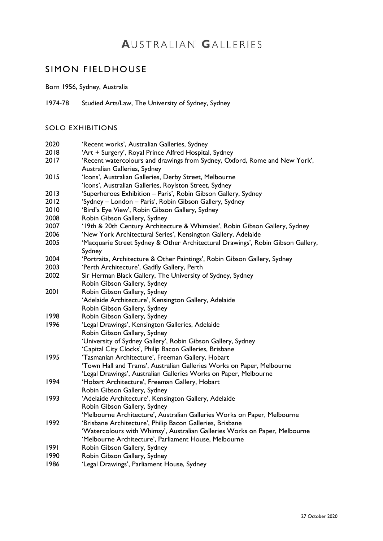# AUSTRALIAN GALLERIES

## SIMON FIELDHOUSE

Born 1956, Sydney, Australia

1974-78 Studied Arts/Law, The University of Sydney, Sydney

### SOLO EXHIBITIONS

| 'Art + Surgery', Royal Prince Alfred Hospital, Sydney<br>'Recent watercolours and drawings from Sydney, Oxford, Rome and New York',<br>'Icons', Australian Galleries, Derby Street, Melbourne<br>'Icons', Australian Galleries, Roylston Street, Sydney<br>'Superheroes Exhibition - Paris', Robin Gibson Gallery, Sydney<br>'Sydney - London - Paris', Robin Gibson Gallery, Sydney<br>'19th & 20th Century Architecture & Whimsies', Robin Gibson Gallery, Sydney<br>'New York Architectural Series', Kensington Gallery, Adelaide<br>'Macquarie Street Sydney & Other Architectural Drawings', Robin Gibson Gallery, |
|-------------------------------------------------------------------------------------------------------------------------------------------------------------------------------------------------------------------------------------------------------------------------------------------------------------------------------------------------------------------------------------------------------------------------------------------------------------------------------------------------------------------------------------------------------------------------------------------------------------------------|
|                                                                                                                                                                                                                                                                                                                                                                                                                                                                                                                                                                                                                         |
|                                                                                                                                                                                                                                                                                                                                                                                                                                                                                                                                                                                                                         |
|                                                                                                                                                                                                                                                                                                                                                                                                                                                                                                                                                                                                                         |
|                                                                                                                                                                                                                                                                                                                                                                                                                                                                                                                                                                                                                         |
|                                                                                                                                                                                                                                                                                                                                                                                                                                                                                                                                                                                                                         |
|                                                                                                                                                                                                                                                                                                                                                                                                                                                                                                                                                                                                                         |
|                                                                                                                                                                                                                                                                                                                                                                                                                                                                                                                                                                                                                         |
|                                                                                                                                                                                                                                                                                                                                                                                                                                                                                                                                                                                                                         |
|                                                                                                                                                                                                                                                                                                                                                                                                                                                                                                                                                                                                                         |
|                                                                                                                                                                                                                                                                                                                                                                                                                                                                                                                                                                                                                         |
|                                                                                                                                                                                                                                                                                                                                                                                                                                                                                                                                                                                                                         |
|                                                                                                                                                                                                                                                                                                                                                                                                                                                                                                                                                                                                                         |
|                                                                                                                                                                                                                                                                                                                                                                                                                                                                                                                                                                                                                         |
| 'Portraits, Architecture & Other Paintings', Robin Gibson Gallery, Sydney                                                                                                                                                                                                                                                                                                                                                                                                                                                                                                                                               |
|                                                                                                                                                                                                                                                                                                                                                                                                                                                                                                                                                                                                                         |
| Sir Herman Black Gallery, The University of Sydney, Sydney                                                                                                                                                                                                                                                                                                                                                                                                                                                                                                                                                              |
|                                                                                                                                                                                                                                                                                                                                                                                                                                                                                                                                                                                                                         |
|                                                                                                                                                                                                                                                                                                                                                                                                                                                                                                                                                                                                                         |
| 'Adelaide Architecture', Kensington Gallery, Adelaide                                                                                                                                                                                                                                                                                                                                                                                                                                                                                                                                                                   |
|                                                                                                                                                                                                                                                                                                                                                                                                                                                                                                                                                                                                                         |
|                                                                                                                                                                                                                                                                                                                                                                                                                                                                                                                                                                                                                         |
|                                                                                                                                                                                                                                                                                                                                                                                                                                                                                                                                                                                                                         |
|                                                                                                                                                                                                                                                                                                                                                                                                                                                                                                                                                                                                                         |
| 'University of Sydney Gallery', Robin Gibson Gallery, Sydney                                                                                                                                                                                                                                                                                                                                                                                                                                                                                                                                                            |
| 'Capital City Clocks', Philip Bacon Galleries, Brisbane                                                                                                                                                                                                                                                                                                                                                                                                                                                                                                                                                                 |
| 'Tasmanian Architecture', Freeman Gallery, Hobart                                                                                                                                                                                                                                                                                                                                                                                                                                                                                                                                                                       |
| 'Town Hall and Trams', Australian Galleries Works on Paper, Melbourne                                                                                                                                                                                                                                                                                                                                                                                                                                                                                                                                                   |
| 'Legal Drawings', Australian Galleries Works on Paper, Melbourne                                                                                                                                                                                                                                                                                                                                                                                                                                                                                                                                                        |
|                                                                                                                                                                                                                                                                                                                                                                                                                                                                                                                                                                                                                         |
|                                                                                                                                                                                                                                                                                                                                                                                                                                                                                                                                                                                                                         |
| 'Adelaide Architecture', Kensington Gallery, Adelaide                                                                                                                                                                                                                                                                                                                                                                                                                                                                                                                                                                   |
|                                                                                                                                                                                                                                                                                                                                                                                                                                                                                                                                                                                                                         |
| 'Melbourne Architecture', Australian Galleries Works on Paper, Melbourne                                                                                                                                                                                                                                                                                                                                                                                                                                                                                                                                                |
| 'Brisbane Architecture', Philip Bacon Galleries, Brisbane                                                                                                                                                                                                                                                                                                                                                                                                                                                                                                                                                               |
| 'Watercolours with Whimsy', Australian Galleries Works on Paper, Melbourne                                                                                                                                                                                                                                                                                                                                                                                                                                                                                                                                              |
| 'Melbourne Architecture', Parliament House, Melbourne                                                                                                                                                                                                                                                                                                                                                                                                                                                                                                                                                                   |
|                                                                                                                                                                                                                                                                                                                                                                                                                                                                                                                                                                                                                         |
|                                                                                                                                                                                                                                                                                                                                                                                                                                                                                                                                                                                                                         |
|                                                                                                                                                                                                                                                                                                                                                                                                                                                                                                                                                                                                                         |
|                                                                                                                                                                                                                                                                                                                                                                                                                                                                                                                                                                                                                         |